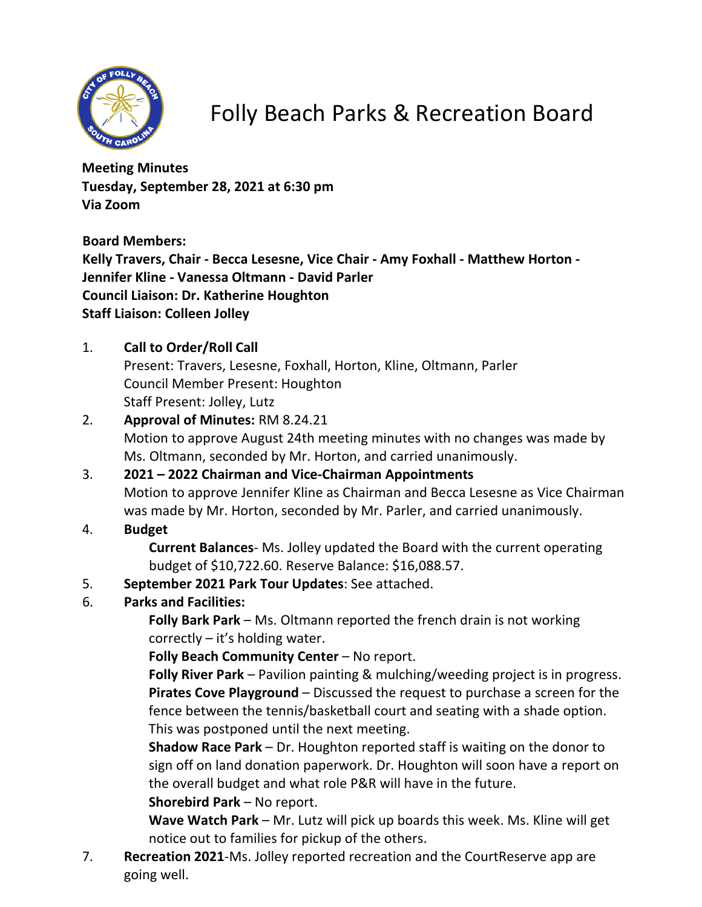

Folly Beach Parks & Recreation Board

**Meeting Minutes Tuesday, September 28, 2021 at 6:30 pm Via Zoom**

**Board Members:**

**Kelly Travers, Chair - Becca Lesesne, Vice Chair - Amy Foxhall - Matthew Horton - Jennifer Kline - Vanessa Oltmann - David Parler Council Liaison: Dr. Katherine Houghton Staff Liaison: Colleen Jolley**

1. **Call to Order/Roll Call**

Present: Travers, Lesesne, Foxhall, Horton, Kline, Oltmann, Parler Council Member Present: Houghton Staff Present: Jolley, Lutz

- 2. **Approval of Minutes:** RM 8.24.21 Motion to approve August 24th meeting minutes with no changes was made by Ms. Oltmann, seconded by Mr. Horton, and carried unanimously.
- 3. **2021 2022 Chairman and Vice-Chairman Appointments** Motion to approve Jennifer Kline as Chairman and Becca Lesesne as Vice Chairman was made by Mr. Horton, seconded by Mr. Parler, and carried unanimously.
- 4. **Budget**

**Current Balances**- Ms. Jolley updated the Board with the current operating budget of \$10,722.60. Reserve Balance: \$16,088.57.

- 5. **September 2021 Park Tour Updates**: See attached.
- 6. **Parks and Facilities:**

**Folly Bark Park** – Ms. Oltmann reported the french drain is not working correctly – it's holding water.

**Folly Beach Community Center** – No report.

**Folly River Park** – Pavilion painting & mulching/weeding project is in progress. **Pirates Cove Playground** – Discussed the request to purchase a screen for the fence between the tennis/basketball court and seating with a shade option. This was postponed until the next meeting.

**Shadow Race Park** – Dr. Houghton reported staff is waiting on the donor to sign off on land donation paperwork. Dr. Houghton will soon have a report on the overall budget and what role P&R will have in the future.

**Shorebird Park** – No report.

**Wave Watch Park** – Mr. Lutz will pick up boards this week. Ms. Kline will get notice out to families for pickup of the others.

7. **Recreation 2021**-Ms. Jolley reported recreation and the CourtReserve app are going well.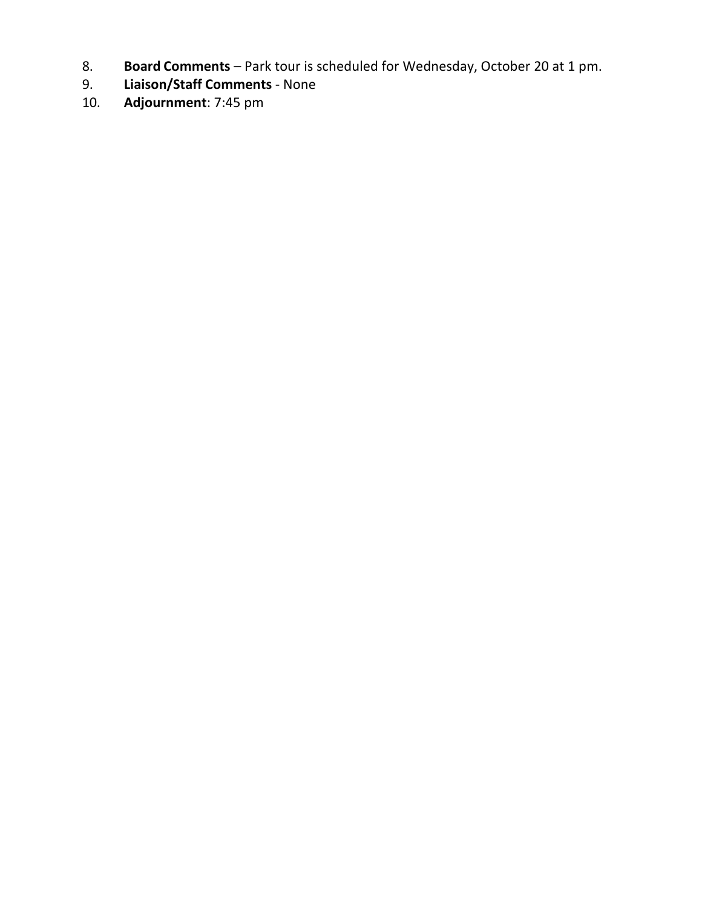- 8. **Board Comments** Park tour is scheduled for Wednesday, October 20 at 1 pm.
- 9. **Liaison/Staff Comments** None
- 10. **Adjournment**: 7:45 pm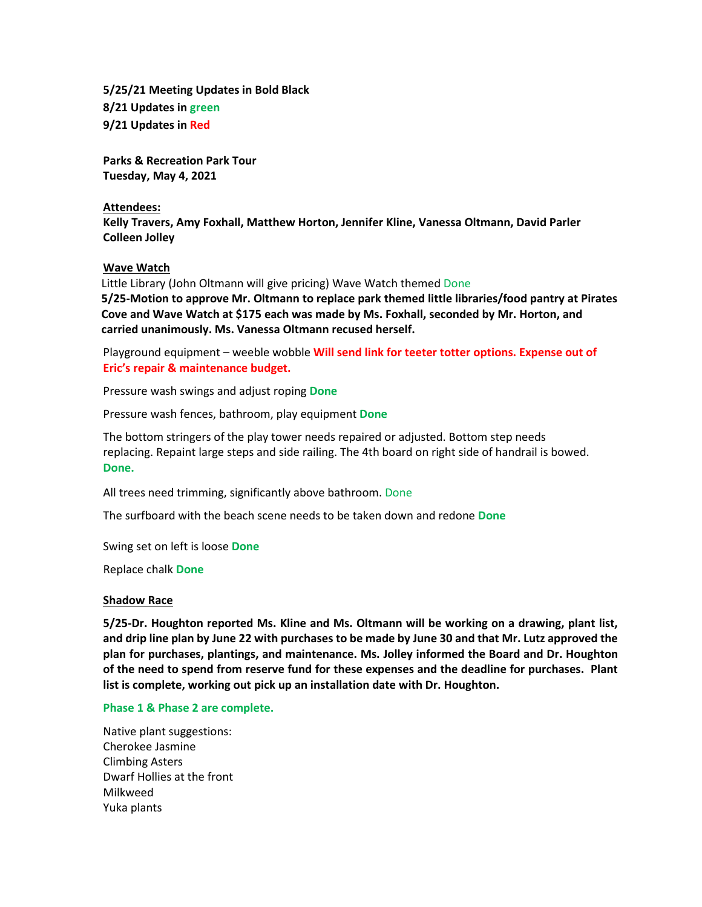**5/25/21 Meeting Updates in Bold Black 8/21 Updates in green 9/21 Updates in Red**

**Parks & Recreation Park Tour Tuesday, May 4, 2021**

#### **Attendees:**

**Kelly Travers, Amy Foxhall, Matthew Horton, Jennifer Kline, Vanessa Oltmann, David Parler Colleen Jolley**

## **Wave Watch**

Little Library (John Oltmann will give pricing) Wave Watch themed Done

**5/25-Motion to approve Mr. Oltmann to replace park themed little libraries/food pantry at Pirates Cove and Wave Watch at \$175 each was made by Ms. Foxhall, seconded by Mr. Horton, and carried unanimously. Ms. Vanessa Oltmann recused herself.**

Playground equipment – weeble wobble **Will send link for teeter totter options. Expense out of Eric's repair & maintenance budget.**

Pressure wash swings and adjust roping **Done**

Pressure wash fences, bathroom, play equipment **Done**

The bottom stringers of the play tower needs repaired or adjusted. Bottom step needs replacing. Repaint large steps and side railing. The 4th board on right side of handrail is bowed. **Done.**

All trees need trimming, significantly above bathroom. Done

The surfboard with the beach scene needs to be taken down and redone **Done**

Swing set on left is loose **Done**

Replace chalk **Done**

### **Shadow Race**

**5/25-Dr. Houghton reported Ms. Kline and Ms. Oltmann will be working on a drawing, plant list, and drip line plan by June 22 with purchases to be made by June 30 and that Mr. Lutz approved the plan for purchases, plantings, and maintenance. Ms. Jolley informed the Board and Dr. Houghton of the need to spend from reserve fund for these expenses and the deadline for purchases. Plant list is complete, working out pick up an installation date with Dr. Houghton.** 

### **Phase 1 & Phase 2 are complete.**

Native plant suggestions: Cherokee Jasmine Climbing Asters Dwarf Hollies at the front Milkweed Yuka plants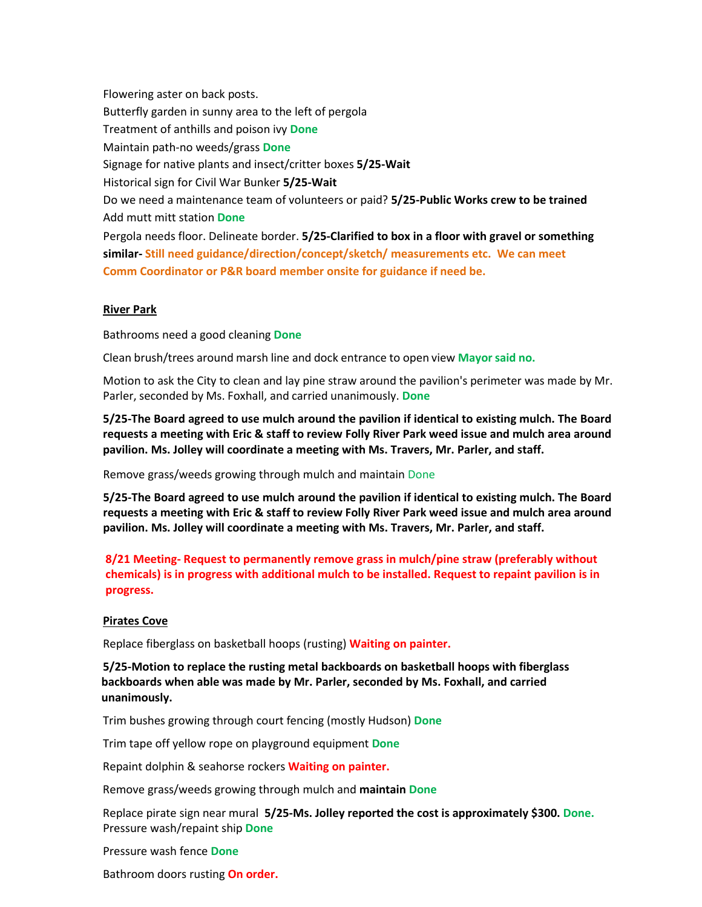Flowering aster on back posts. Butterfly garden in sunny area to the left of pergola Treatment of anthills and poison ivy **Done** Maintain path-no weeds/grass **Done** Signage for native plants and insect/critter boxes **5/25-Wait** Historical sign for Civil War Bunker **5/25-Wait** Do we need a maintenance team of volunteers or paid? **5/25-Public Works crew to be trained** Add mutt mitt station **Done** Pergola needs floor. Delineate border. **5/25-Clarified to box in a floor with gravel or something similar- Still need guidance/direction/concept/sketch/ measurements etc. We can meet Comm Coordinator or P&R board member onsite for guidance if need be.** 

### **River Park**

Bathrooms need a good cleaning **Done**

Clean brush/trees around marsh line and dock entrance to open view **Mayorsaid no.**

Motion to ask the City to clean and lay pine straw around the pavilion's perimeter was made by Mr. Parler, seconded by Ms. Foxhall, and carried unanimously. **Done**

**5/25-The Board agreed to use mulch around the pavilion if identical to existing mulch. The Board requests a meeting with Eric & staff to review Folly River Park weed issue and mulch area around pavilion. Ms. Jolley will coordinate a meeting with Ms. Travers, Mr. Parler, and staff.**

Remove grass/weeds growing through mulch and maintain Done

**5/25-The Board agreed to use mulch around the pavilion if identical to existing mulch. The Board requests a meeting with Eric & staff to review Folly River Park weed issue and mulch area around pavilion. Ms. Jolley will coordinate a meeting with Ms. Travers, Mr. Parler, and staff.**

**8/21 Meeting- Request to permanently remove grass in mulch/pine straw (preferably without chemicals) is in progress with additional mulch to be installed. Request to repaint pavilion is in progress.** 

### **Pirates Cove**

Replace fiberglass on basketball hoops (rusting) **Waiting on painter.**

**5/25-Motion to replace the rusting metal backboards on basketball hoops with fiberglass backboards when able was made by Mr. Parler, seconded by Ms. Foxhall, and carried unanimously.**

Trim bushes growing through court fencing (mostly Hudson) **Done** 

Trim tape off yellow rope on playground equipment **Done**

Repaint dolphin & seahorse rockers **Waiting on painter.**

Remove grass/weeds growing through mulch and **maintain Done**

Replace pirate sign near mural **5/25-Ms. Jolley reported the cost is approximately \$300. Done.** Pressure wash/repaint ship **Done**

Pressure wash fence **Done**

Bathroom doors rusting **On order.**